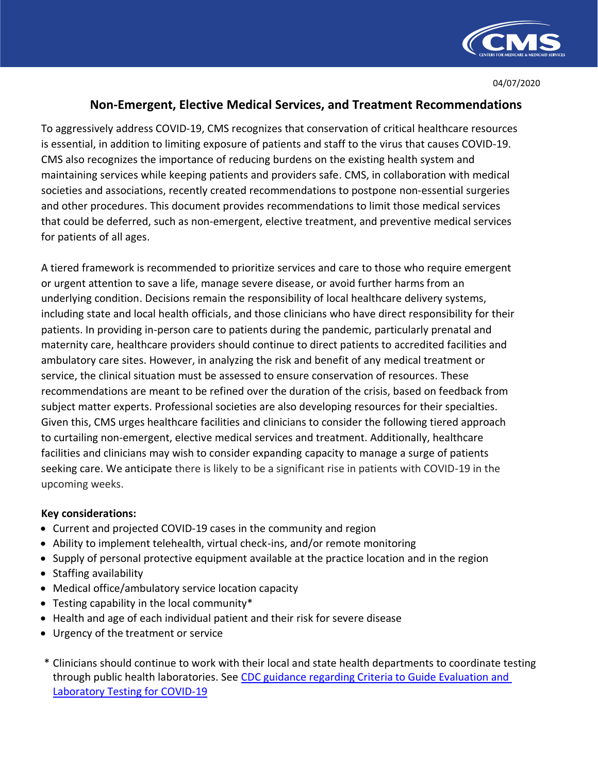

04/07/2020

## **Non-Emergent, Elective Medical Services, and Treatment Recommendations**

To aggressively address COVID-19, CMS recognizes that conservation of critical healthcare resources is essential, in addition to limiting exposure of patients and staff to the virus that causes COVID-19. CMS also recognizes the importance of reducing burdens on the existing health system and maintaining services while keeping patients and providers safe. CMS, in collaboration with medical societies and associations, recently created recommendations to postpone non-essential surgeries and other procedures. This document provides recommendations to limit those medical services that could be deferred, such as non-emergent, elective treatment, and preventive medical services for patients of all ages.

A tiered framework is recommended to prioritize services and care to those who require emergent or urgent attention to save a life, manage severe disease, or avoid further harms from an underlying condition. Decisions remain the responsibility of local healthcare delivery systems, including state and local health officials, and those clinicians who have direct responsibility for their patients. In providing in-person care to patients during the pandemic, particularly prenatal and maternity care, healthcare providers should continue to direct patients to accredited facilities and ambulatory care sites. However, in analyzing the risk and benefit of any medical treatment or service, the clinical situation must be assessed to ensure conservation of resources. These recommendations are meant to be refined over the duration of the crisis, based on feedback from subject matter experts. Professional societies are also developing resources for their specialties. Given this, CMS urges healthcare facilities and clinicians to consider the following tiered approach to curtailing non-emergent, elective medical services and treatment. Additionally, healthcare facilities and clinicians may wish to consider expanding capacity to manage a surge of patients seeking care. We anticipate there is likely to be a significant rise in patients with COVID-19 in the upcoming weeks.

## **Key considerations:**

- Current and projected COVID-19 cases in the community and region
- Ability to implement telehealth, virtual check-ins, and/or remote monitoring
- Supply of personal protective equipment available at the practice location and in the region
- Staffing availability
- Medical office/ambulatory service location capacity
- Testing capability in the local community\*
- Health and age of each individual patient and their [risk for severe disease](https://www.cdc.gov/coronavirus/2019-ncov/specific-groups/high-risk-complications.html?deliveryName=USCDC_2067-DM23021)
- Urgency of the treatment or service
- \* Clinicians should continue to work with their local and state health departments to coordinate testing through public health laboratories. See [CDC guidance regarding Criteria to Guide Evaluation and](https://www.cdc.gov/coronavirus/2019-ncov/hcp/clinical-criteria.html) [Laboratory Testing for COVID-19](https://www.cdc.gov/coronavirus/2019-ncov/hcp/clinical-criteria.html)